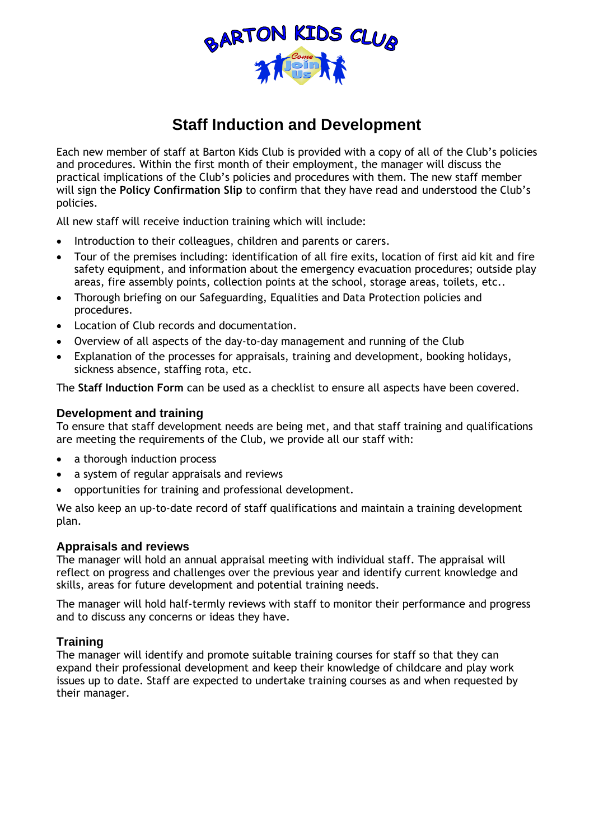

# **Staff Induction and Development**

Each new member of staff at Barton Kids Club is provided with a copy of all of the Club's policies and procedures. Within the first month of their employment, the manager will discuss the practical implications of the Club's policies and procedures with them. The new staff member will sign the **Policy Confirmation Slip** to confirm that they have read and understood the Club's policies.

All new staff will receive induction training which will include:

- Introduction to their colleagues, children and parents or carers.
- Tour of the premises including: identification of all fire exits, location of first aid kit and fire safety equipment, and information about the emergency evacuation procedures; outside play areas, fire assembly points, collection points at the school, storage areas, toilets, etc..
- Thorough briefing on our Safeguarding, Equalities and Data Protection policies and procedures.
- Location of Club records and documentation.
- Overview of all aspects of the day-to-day management and running of the Club
- Explanation of the processes for appraisals, training and development, booking holidays, sickness absence, staffing rota, etc.

The **Staff Induction Form** can be used as a checklist to ensure all aspects have been covered.

## **Development and training**

To ensure that staff development needs are being met, and that staff training and qualifications are meeting the requirements of the Club, we provide all our staff with:

- a thorough induction process
- a system of regular appraisals and reviews
- opportunities for training and professional development.

We also keep an up-to-date record of staff qualifications and maintain a training development plan.

#### **Appraisals and reviews**

The manager will hold an annual appraisal meeting with individual staff. The appraisal will reflect on progress and challenges over the previous year and identify current knowledge and skills, areas for future development and potential training needs.

The manager will hold half-termly reviews with staff to monitor their performance and progress and to discuss any concerns or ideas they have.

## **Training**

The manager will identify and promote suitable training courses for staff so that they can expand their professional development and keep their knowledge of childcare and play work issues up to date. Staff are expected to undertake training courses as and when requested by their manager.